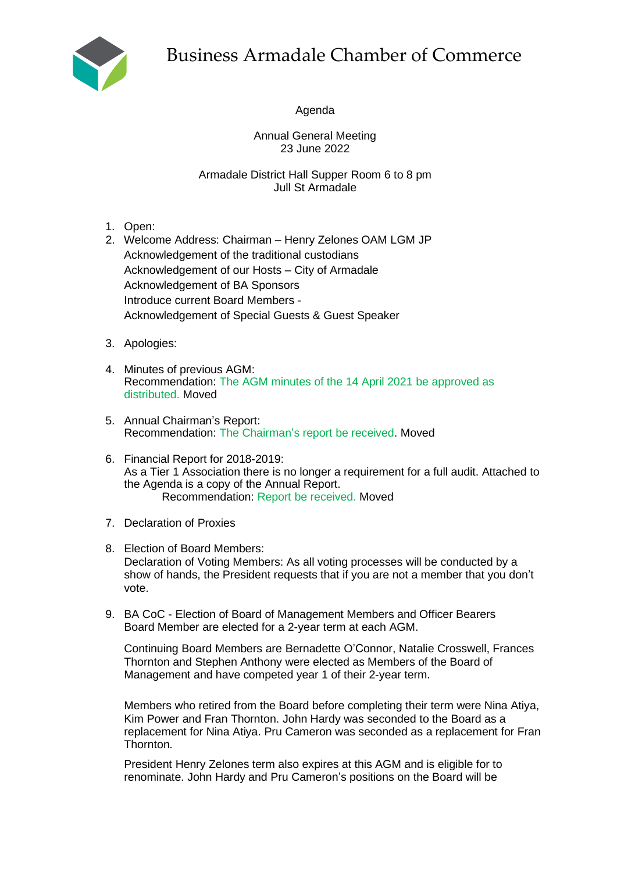

Agenda

Annual General Meeting 23 June 2022

Armadale District Hall Supper Room 6 to 8 pm Jull St Armadale

- 1. Open:
- 2. Welcome Address: Chairman Henry Zelones OAM LGM JP Acknowledgement of the traditional custodians Acknowledgement of our Hosts – City of Armadale Acknowledgement of BA Sponsors Introduce current Board Members - Acknowledgement of Special Guests & Guest Speaker
- 3. Apologies:
- 4. Minutes of previous AGM: Recommendation: The AGM minutes of the 14 April 2021 be approved as distributed. Moved
- 5. Annual Chairman's Report: Recommendation: The Chairman's report be received. Moved
- 6. Financial Report for 2018-2019: As a Tier 1 Association there is no longer a requirement for a full audit. Attached to the Agenda is a copy of the Annual Report. Recommendation: Report be received. Moved
- 7. Declaration of Proxies
- 8. Election of Board Members: Declaration of Voting Members: As all voting processes will be conducted by a show of hands, the President requests that if you are not a member that you don't vote.
- 9. BA CoC Election of Board of Management Members and Officer Bearers Board Member are elected for a 2-year term at each AGM.

Continuing Board Members are Bernadette O'Connor, Natalie Crosswell, Frances Thornton and Stephen Anthony were elected as Members of the Board of Management and have competed year 1 of their 2-year term.

Members who retired from the Board before completing their term were Nina Atiya, Kim Power and Fran Thornton. John Hardy was seconded to the Board as a replacement for Nina Atiya. Pru Cameron was seconded as a replacement for Fran Thornton.

President Henry Zelones term also expires at this AGM and is eligible for to renominate. John Hardy and Pru Cameron's positions on the Board will be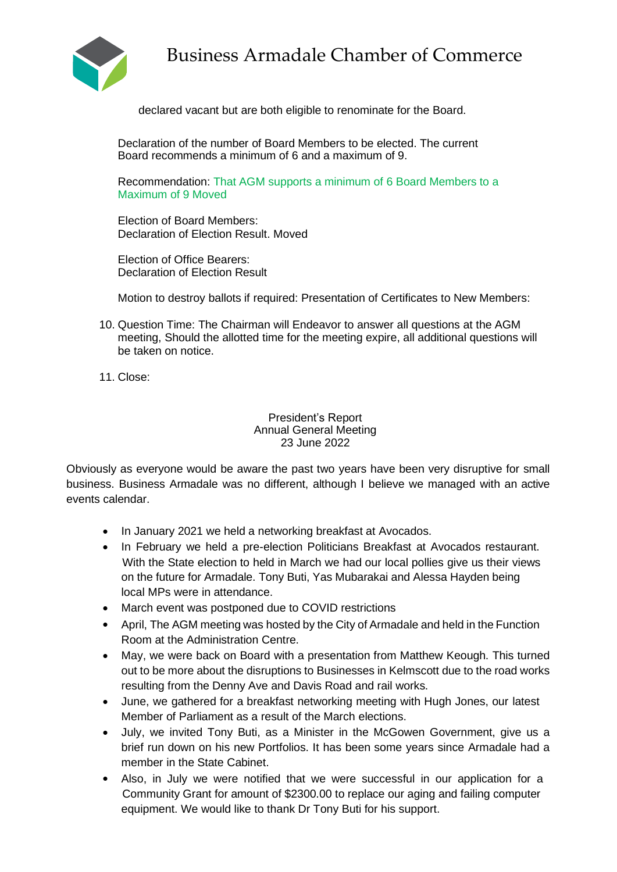

declared vacant but are both eligible to renominate for the Board.

Declaration of the number of Board Members to be elected. The current Board recommends a minimum of 6 and a maximum of 9.

Recommendation: That AGM supports a minimum of 6 Board Members to a Maximum of 9 Moved

Election of Board Members: Declaration of Election Result. Moved

Election of Office Bearers: Declaration of Election Result

Motion to destroy ballots if required: Presentation of Certificates to New Members:

- 10. Question Time: The Chairman will Endeavor to answer all questions at the AGM meeting, Should the allotted time for the meeting expire, all additional questions will be taken on notice.
- 11. Close:

President's Report Annual General Meeting 23 June 2022

Obviously as everyone would be aware the past two years have been very disruptive for small business. Business Armadale was no different, although I believe we managed with an active events calendar.

- In January 2021 we held a networking breakfast at Avocados.
- In February we held a pre-election Politicians Breakfast at Avocados restaurant. With the State election to held in March we had our local pollies give us their views on the future for Armadale. Tony Buti, Yas Mubarakai and Alessa Hayden being local MPs were in attendance.
- March event was postponed due to COVID restrictions
- April, The AGM meeting was hosted by the City of Armadale and held in the Function Room at the Administration Centre.
- May, we were back on Board with a presentation from Matthew Keough. This turned out to be more about the disruptions to Businesses in Kelmscott due to the road works resulting from the Denny Ave and Davis Road and rail works.
- June, we gathered for a breakfast networking meeting with Hugh Jones, our latest Member of Parliament as a result of the March elections.
- July, we invited Tony Buti, as a Minister in the McGowen Government, give us a brief run down on his new Portfolios. It has been some years since Armadale had a member in the State Cabinet.
- Also, in July we were notified that we were successful in our application for a Community Grant for amount of \$2300.00 to replace our aging and failing computer equipment. We would like to thank Dr Tony Buti for his support.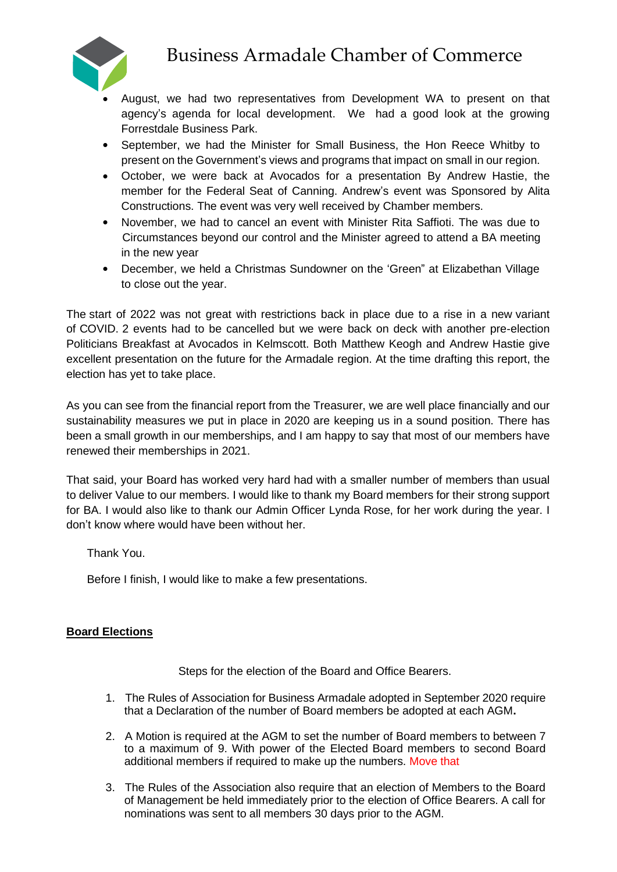

- August, we had two representatives from Development WA to present on that agency's agenda for local development. We had a good look at the growing Forrestdale Business Park.
- September, we had the Minister for Small Business, the Hon Reece Whitby to present on the Government's views and programs that impact on small in our region.
- October, we were back at Avocados for a presentation By Andrew Hastie, the member for the Federal Seat of Canning. Andrew's event was Sponsored by Alita Constructions. The event was very well received by Chamber members.
- November, we had to cancel an event with Minister Rita Saffioti. The was due to Circumstances beyond our control and the Minister agreed to attend a BA meeting in the new year
- December, we held a Christmas Sundowner on the 'Green" at Elizabethan Village to close out the year.

The start of 2022 was not great with restrictions back in place due to a rise in a new variant of COVID. 2 events had to be cancelled but we were back on deck with another pre-election Politicians Breakfast at Avocados in Kelmscott. Both Matthew Keogh and Andrew Hastie give excellent presentation on the future for the Armadale region. At the time drafting this report, the election has yet to take place.

As you can see from the financial report from the Treasurer, we are well place financially and our sustainability measures we put in place in 2020 are keeping us in a sound position. There has been a small growth in our memberships, and I am happy to say that most of our members have renewed their memberships in 2021.

That said, your Board has worked very hard had with a smaller number of members than usual to deliver Value to our members. I would like to thank my Board members for their strong support for BA. I would also like to thank our Admin Officer Lynda Rose, for her work during the year. I don't know where would have been without her.

Thank You.

Before I finish, I would like to make a few presentations.

## **Board Elections**

Steps for the election of the Board and Office Bearers.

- 1. The Rules of Association for Business Armadale adopted in September 2020 require that a Declaration of the number of Board members be adopted at each AGM**.**
- 2. A Motion is required at the AGM to set the number of Board members to between 7 to a maximum of 9. With power of the Elected Board members to second Board additional members if required to make up the numbers. Move that
- 3. The Rules of the Association also require that an election of Members to the Board of Management be held immediately prior to the election of Office Bearers. A call for nominations was sent to all members 30 days prior to the AGM.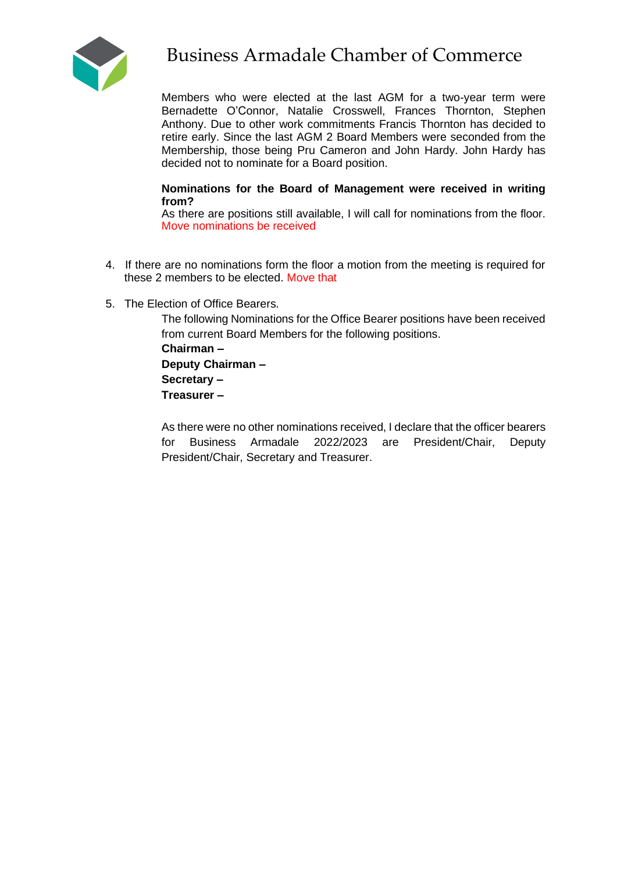

Members who were elected at the last AGM for a two-year term were Bernadette O'Connor, Natalie Crosswell, Frances Thornton, Stephen Anthony. Due to other work commitments Francis Thornton has decided to retire early. Since the last AGM 2 Board Members were seconded from the Membership, those being Pru Cameron and John Hardy. John Hardy has decided not to nominate for a Board position.

### **Nominations for the Board of Management were received in writing from?**

As there are positions still available, I will call for nominations from the floor. Move nominations be received

- 4. If there are no nominations form the floor a motion from the meeting is required for these 2 members to be elected. Move that
- 5. The Election of Office Bearers.

The following Nominations for the Office Bearer positions have been received from current Board Members for the following positions. **Chairman – Deputy Chairman – Secretary – Treasurer –**

As there were no other nominations received, I declare that the officer bearers for Business Armadale 2022/2023 are President/Chair, Deputy President/Chair, Secretary and Treasurer.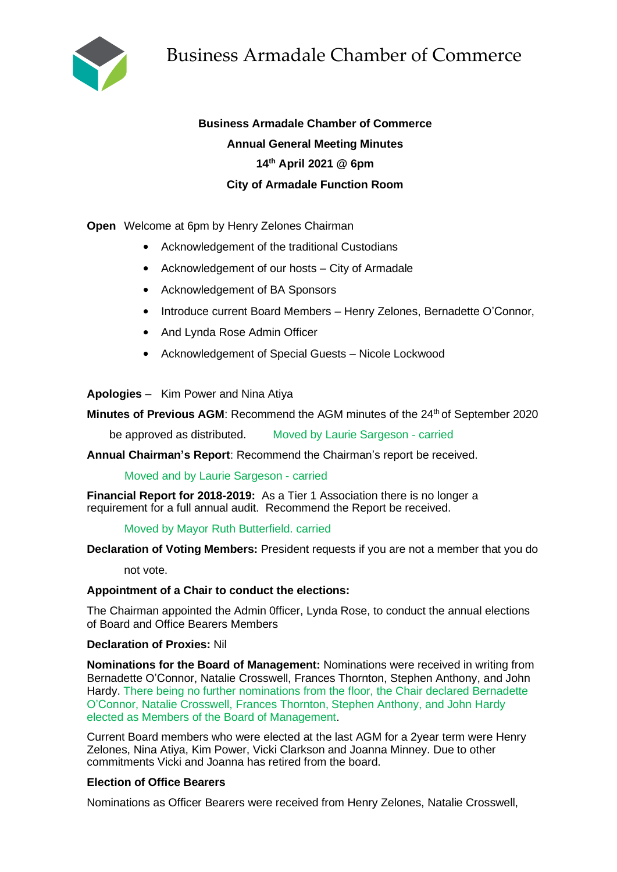

# **Business Armadale Chamber of Commerce Annual General Meeting Minutes 14th April 2021 @ 6pm City of Armadale Function Room**

**Open** Welcome at 6pm by Henry Zelones Chairman

- Acknowledgement of the traditional Custodians
- Acknowledgement of our hosts City of Armadale
- Acknowledgement of BA Sponsors
- Introduce current Board Members Henry Zelones, Bernadette O'Connor,
- And Lynda Rose Admin Officer
- Acknowledgement of Special Guests Nicole Lockwood

**Apologies** – Kim Power and Nina Atiya

**Minutes of Previous AGM: Recommend the AGM minutes of the 24<sup>th</sup> of September 2020** 

be approved as distributed. Moved by Laurie Sargeson - carried

**Annual Chairman's Report**: Recommend the Chairman's report be received.

Moved and by Laurie Sargeson - carried

**Financial Report for 2018-2019:** As a Tier 1 Association there is no longer a requirement for a full annual audit. Recommend the Report be received.

#### Moved by Mayor Ruth Butterfield. carried

**Declaration of Voting Members:** President requests if you are not a member that you do

not vote.

#### **Appointment of a Chair to conduct the elections:**

The Chairman appointed the Admin 0fficer, Lynda Rose, to conduct the annual elections of Board and Office Bearers Members

#### **Declaration of Proxies:** Nil

**Nominations for the Board of Management:** Nominations were received in writing from Bernadette O'Connor, Natalie Crosswell, Frances Thornton, Stephen Anthony, and John Hardy. There being no further nominations from the floor, the Chair declared Bernadette O'Connor, Natalie Crosswell, Frances Thornton, Stephen Anthony, and John Hardy elected as Members of the Board of Management.

Current Board members who were elected at the last AGM for a 2year term were Henry Zelones, Nina Atiya, Kim Power, Vicki Clarkson and Joanna Minney. Due to other commitments Vicki and Joanna has retired from the board.

### **Election of Office Bearers**

Nominations as Officer Bearers were received from Henry Zelones, Natalie Crosswell,